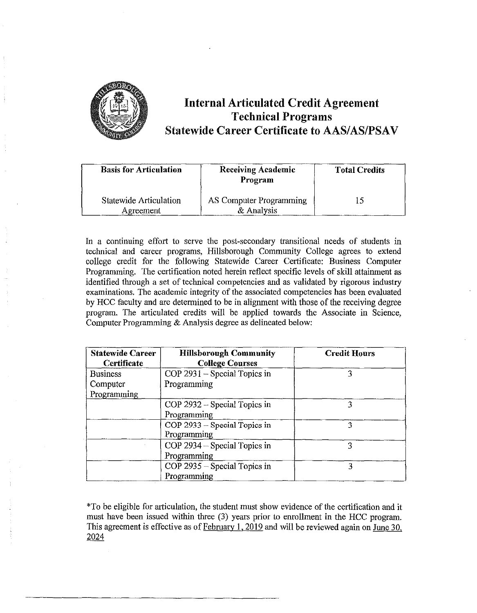

# **Internal Articulated Credit Agreement Technical Programs Statewide Career Certificate to AAS/AS/PSAV**

| <b>Basis for Articulation</b>              | <b>Receiving Academic</b><br>Program  | <b>Total Credits</b> |
|--------------------------------------------|---------------------------------------|----------------------|
| <b>Statewide Articulation</b><br>Agreement | AS Computer Programming<br>& Analysis |                      |

In a continuing effort to serve the post-secondary transitional needs of students in technical and career programs, Hillsborough Community College agrees to extend college credit for the following Statewide Career Certificate: Business Computer Programming. The certification noted herein reflect specific levels of skill attainment as identified through a set of technical competencies and as validated by rigorous industry examinations. The academic integrity of the associated competencies has been evaluated by HCC faculty and are determined to be in alignment with those of the receiving degree program. The articulated credits will be applied towards the Associate in Science, Computer Programming & Analysis degree as delineated below:

| <b>Statewide Career</b><br>Certificate | <b>Hillsborough Community</b><br><b>College Courses</b> | <b>Credit Hours</b> |
|----------------------------------------|---------------------------------------------------------|---------------------|
| <b>Business</b>                        | $COP$ 2931 – Special Topics in                          | 3                   |
| Computer                               | Programming                                             |                     |
| Programming                            |                                                         |                     |
|                                        | COP 2932 – Special Topics in                            | ٦                   |
|                                        | Programming                                             |                     |
|                                        | COP 2933 – Special Topics in                            | 3                   |
|                                        | Programming                                             |                     |
|                                        | $COP$ 2934 – Special Topics in                          |                     |
|                                        | Programming                                             |                     |
|                                        | COP 2935 – Special Topics in                            | 3                   |
|                                        | Programming                                             |                     |

\*To be eligible for articulation, the student must show evidence of the certification and it must have been issued within three (3) years prior to enrollment in the HCC program. This agreement is effective as of February **1,** 2019 and will be reviewed again on June 30, 2024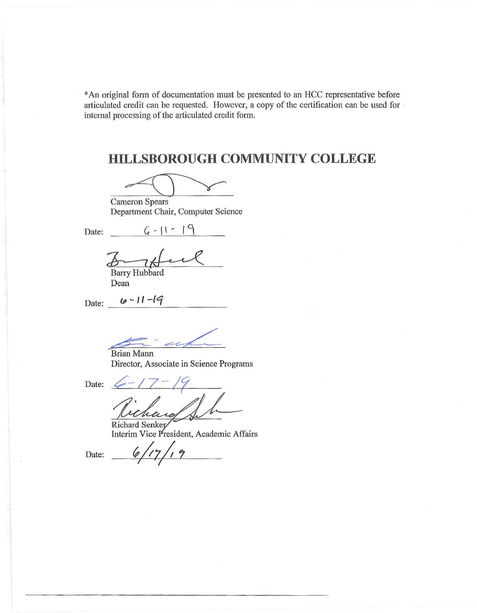\*An original form of documentation must be presented to an HCC representative before articulated credit can be requested. However, a copy of the certification can be used for · internal processing of the articulated credit form.

# **HILLSBOROUGH COMMUNITY COLLEGE**

У

Cameron Spears Department Chair, Computer Science

Date:  $6 - 1 - 9$ 

 $\frac{6-11}{\text{Bary Hubbard}}$ 

Dean

Date: <u>6 - 11 - 19</u>

af

~~Brian Mann Director, Associate in Science Programs

Date:  $6 - 17 - 19$ hars

Richard Senker Interim Vice President, Academic Affairs

Date: *C/17/19*